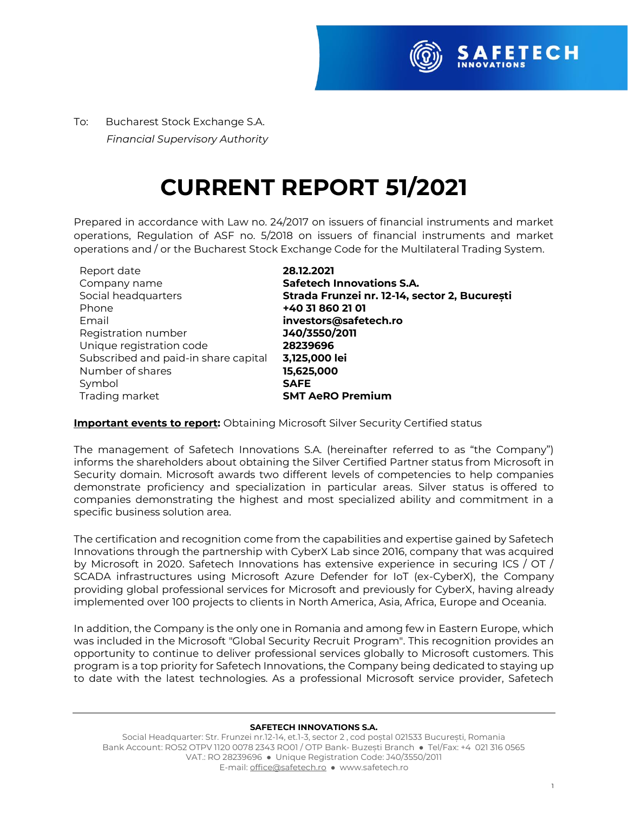

To:Bucharest Stock Exchange S.A.  *Financial Supervisory Authority*

## **CURRENT REPORT 51/2021**

Prepared in accordance with Law no. 24/2017 on issuers of financial instruments and market operations, Regulation of ASF no. 5/2018 on issuers of financial instruments and market operations and / or the Bucharest Stock Exchange Code for the Multilateral Trading System.

| Report date                          | 28.12.2021                                    |
|--------------------------------------|-----------------------------------------------|
| Company name                         | <b>Safetech Innovations S.A.</b>              |
| Social headquarters                  | Strada Frunzei nr. 12-14, sector 2, București |
| Phone                                | +40 31 860 21 01                              |
| Email                                | investors@safetech.ro                         |
| Registration number                  | J40/3550/2011                                 |
| Unique registration code             | 28239696                                      |
| Subscribed and paid-in share capital | 3,125,000 lei                                 |
| Number of shares                     | 15,625,000                                    |
| Symbol                               | <b>SAFE</b>                                   |
| Trading market                       | <b>SMT AeRO Premium</b>                       |

## **Important events to report:** Obtaining Microsoft Silver Security Certified status

The management of Safetech Innovations S.A. (hereinafter referred to as "the Company") informs the shareholders about obtaining the Silver Certified Partner status from Microsoft in Security domain. Microsoft awards two different levels of competencies to help companies demonstrate proficiency and specialization in particular areas. Silver status is offered to companies demonstrating the highest and most specialized ability and commitment in a specific business solution area.

The certification and recognition come from the capabilities and expertise gained by Safetech Innovations through the partnership with CyberX Lab since 2016, company that was acquired by Microsoft in 2020. Safetech Innovations has extensive experience in securing ICS / OT / SCADA infrastructures using Microsoft Azure Defender for IoT (ex-CyberX), the Company providing global professional services for Microsoft and previously for CyberX, having already implemented over 100 projects to clients in North America, Asia, Africa, Europe and Oceania.

In addition, the Company is the only one in Romania and among few in Eastern Europe, which was included in the Microsoft "Global Security Recruit Program". This recognition provides an opportunity to continue to deliver professional services globally to Microsoft customers. This program is a top priority for Safetech Innovations, the Company being dedicated to staying up to date with the latest technologies. As a professional Microsoft service provider, Safetech

## **SAFETECH INNOVATIONS S.A.**

Social Headquarter: Str. Frunzei nr.12-14, et.1-3, sector 2 , cod poștal 021533 București, Romania Bank Account: RO52 OTPV 1120 0078 2343 RO01 / OTP Bank- Buzești Branch ● Tel/Fax: +4 021 316 0565 VAT.: RO 28239696 ● Unique Registration Code: J40/3550/2011 E-mail[: office@safetech.ro](mailto:office@safetech.ro) ● www.safetech.ro